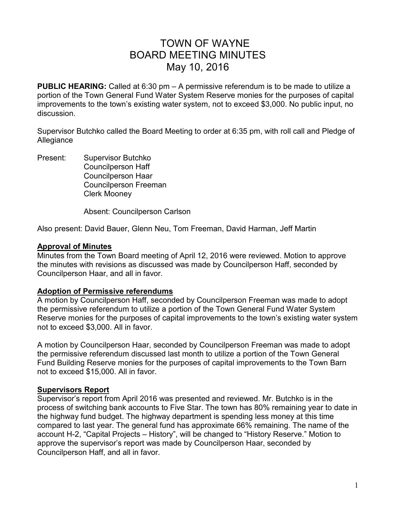# TOWN OF WAYNE BOARD MEETING MINUTES May 10, 2016

**PUBLIC HEARING:** Called at 6:30 pm – A permissive referendum is to be made to utilize a portion of the Town General Fund Water System Reserve monies for the purposes of capital improvements to the town's existing water system, not to exceed \$3,000. No public input, no discussion.

Supervisor Butchko called the Board Meeting to order at 6:35 pm, with roll call and Pledge of Allegiance

Present: Supervisor Butchko Councilperson Haff Councilperson Haar Councilperson Freeman Clerk Mooney

Absent: Councilperson Carlson

Also present: David Bauer, Glenn Neu, Tom Freeman, David Harman, Jeff Martin

#### **Approval of Minutes**

Minutes from the Town Board meeting of April 12, 2016 were reviewed. Motion to approve the minutes with revisions as discussed was made by Councilperson Haff, seconded by Councilperson Haar, and all in favor.

### **Adoption of Permissive referendums**

A motion by Councilperson Haff, seconded by Councilperson Freeman was made to adopt the permissive referendum to utilize a portion of the Town General Fund Water System Reserve monies for the purposes of capital improvements to the town's existing water system not to exceed \$3,000. All in favor.

A motion by Councilperson Haar, seconded by Councilperson Freeman was made to adopt the permissive referendum discussed last month to utilize a portion of the Town General Fund Building Reserve monies for the purposes of capital improvements to the Town Barn not to exceed \$15,000. All in favor.

### **Supervisors Report**

Supervisor's report from April 2016 was presented and reviewed. Mr. Butchko is in the process of switching bank accounts to Five Star. The town has 80% remaining year to date in the highway fund budget. The highway department is spending less money at this time compared to last year. The general fund has approximate 66% remaining. The name of the account H-2, "Capital Projects – History", will be changed to "History Reserve." Motion to approve the supervisor's report was made by Councilperson Haar, seconded by Councilperson Haff, and all in favor.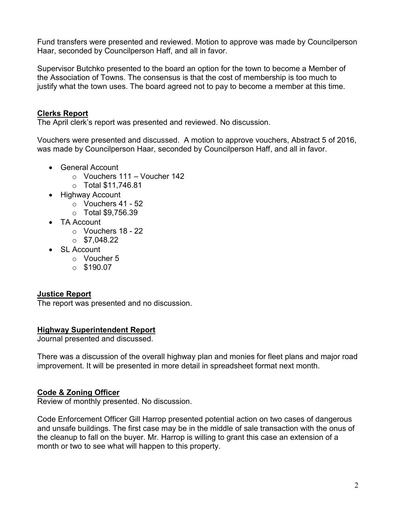Fund transfers were presented and reviewed. Motion to approve was made by Councilperson Haar, seconded by Councilperson Haff, and all in favor.

Supervisor Butchko presented to the board an option for the town to become a Member of the Association of Towns. The consensus is that the cost of membership is too much to justify what the town uses. The board agreed not to pay to become a member at this time.

## **Clerks Report**

The April clerk's report was presented and reviewed. No discussion.

Vouchers were presented and discussed. A motion to approve vouchers, Abstract 5 of 2016, was made by Councilperson Haar, seconded by Councilperson Haff, and all in favor.

- General Account
	- o Vouchers 111 Voucher 142
	- o Total \$11,746.81
- Highway Account
	- o Vouchers 41 52
	- o Total \$9,756.39
- TA Account
	- $\circ$  Vouchers 18 22
	- $\circ$  \$7,048.22
- SL Account
	- o Voucher 5
	- $\circ$  \$190.07

## **Justice Report**

The report was presented and no discussion.

### **Highway Superintendent Report**

Journal presented and discussed.

There was a discussion of the overall highway plan and monies for fleet plans and major road improvement. It will be presented in more detail in spreadsheet format next month.

## **Code & Zoning Officer**

Review of monthly presented. No discussion.

Code Enforcement Officer Gill Harrop presented potential action on two cases of dangerous and unsafe buildings. The first case may be in the middle of sale transaction with the onus of the cleanup to fall on the buyer. Mr. Harrop is willing to grant this case an extension of a month or two to see what will happen to this property.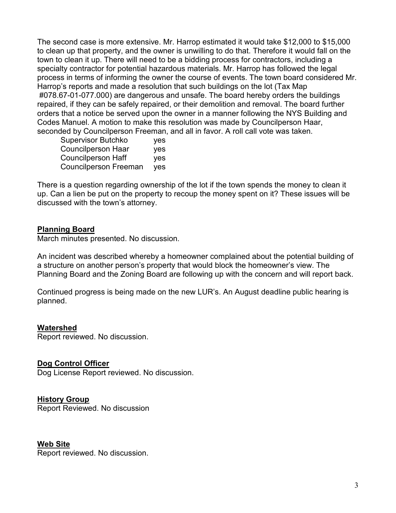The second case is more extensive. Mr. Harrop estimated it would take \$12,000 to \$15,000 to clean up that property, and the owner is unwilling to do that. Therefore it would fall on the town to clean it up. There will need to be a bidding process for contractors, including a specialty contractor for potential hazardous materials. Mr. Harrop has followed the legal process in terms of informing the owner the course of events. The town board considered Mr. Harrop's reports and made a resolution that such buildings on the lot (Tax Map #078.67-01-077.000) are dangerous and unsafe. The board hereby orders the buildings repaired, if they can be safely repaired, or their demolition and removal. The board further orders that a notice be served upon the owner in a manner following the NYS Building and Codes Manuel. A motion to make this resolution was made by Councilperson Haar, seconded by Councilperson Freeman, and all in favor. A roll call vote was taken.

| <b>Supervisor Butchko</b>    | yes |
|------------------------------|-----|
| Councilperson Haar           | yes |
| <b>Councilperson Haff</b>    | yes |
| <b>Councilperson Freeman</b> | yes |

There is a question regarding ownership of the lot if the town spends the money to clean it up. Can a lien be put on the property to recoup the money spent on it? These issues will be discussed with the town's attorney.

### **Planning Board**

March minutes presented. No discussion.

An incident was described whereby a homeowner complained about the potential building of a structure on another person's property that would block the homeowner's view. The Planning Board and the Zoning Board are following up with the concern and will report back.

Continued progress is being made on the new LUR's. An August deadline public hearing is planned.

### **Watershed**

Report reviewed. No discussion.

#### **Dog Control Officer**

Dog License Report reviewed. No discussion.

### **History Group**

Report Reviewed. No discussion

**Web Site**

Report reviewed. No discussion.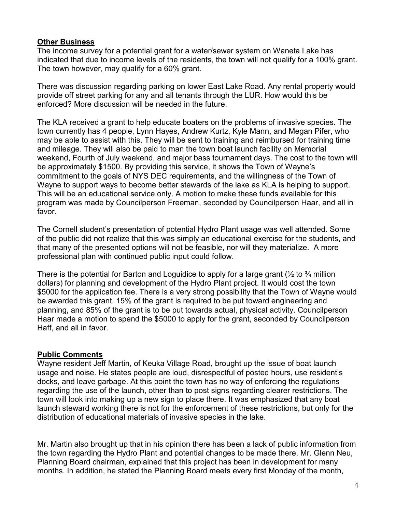## **Other Business**

The income survey for a potential grant for a water/sewer system on Waneta Lake has indicated that due to income levels of the residents, the town will not qualify for a 100% grant. The town however, may qualify for a 60% grant.

There was discussion regarding parking on lower East Lake Road. Any rental property would provide off street parking for any and all tenants through the LUR. How would this be enforced? More discussion will be needed in the future.

The KLA received a grant to help educate boaters on the problems of invasive species. The town currently has 4 people, Lynn Hayes, Andrew Kurtz, Kyle Mann, and Megan Pifer, who may be able to assist with this. They will be sent to training and reimbursed for training time and mileage. They will also be paid to man the town boat launch facility on Memorial weekend, Fourth of July weekend, and major bass tournament days. The cost to the town will be approximately \$1500. By providing this service, it shows the Town of Wayne's commitment to the goals of NYS DEC requirements, and the willingness of the Town of Wayne to support ways to become better stewards of the lake as KLA is helping to support. This will be an educational service only. A motion to make these funds available for this program was made by Councilperson Freeman, seconded by Councilperson Haar, and all in favor.

The Cornell student's presentation of potential Hydro Plant usage was well attended. Some of the public did not realize that this was simply an educational exercise for the students, and that many of the presented options will not be feasible, nor will they materialize. A more professional plan with continued public input could follow.

There is the potential for Barton and Loguidice to apply for a large grant  $\frac{1}{2}$  to  $\frac{3}{4}$  million dollars) for planning and development of the Hydro Plant project. It would cost the town \$5000 for the application fee. There is a very strong possibility that the Town of Wayne would be awarded this grant. 15% of the grant is required to be put toward engineering and planning, and 85% of the grant is to be put towards actual, physical activity. Councilperson Haar made a motion to spend the \$5000 to apply for the grant, seconded by Councilperson Haff, and all in favor.

## **Public Comments**

Wayne resident Jeff Martin, of Keuka Village Road, brought up the issue of boat launch usage and noise. He states people are loud, disrespectful of posted hours, use resident's docks, and leave garbage. At this point the town has no way of enforcing the regulations regarding the use of the launch, other than to post signs regarding clearer restrictions. The town will look into making up a new sign to place there. It was emphasized that any boat launch steward working there is not for the enforcement of these restrictions, but only for the distribution of educational materials of invasive species in the lake.

Mr. Martin also brought up that in his opinion there has been a lack of public information from the town regarding the Hydro Plant and potential changes to be made there. Mr. Glenn Neu, Planning Board chairman, explained that this project has been in development for many months. In addition, he stated the Planning Board meets every first Monday of the month,